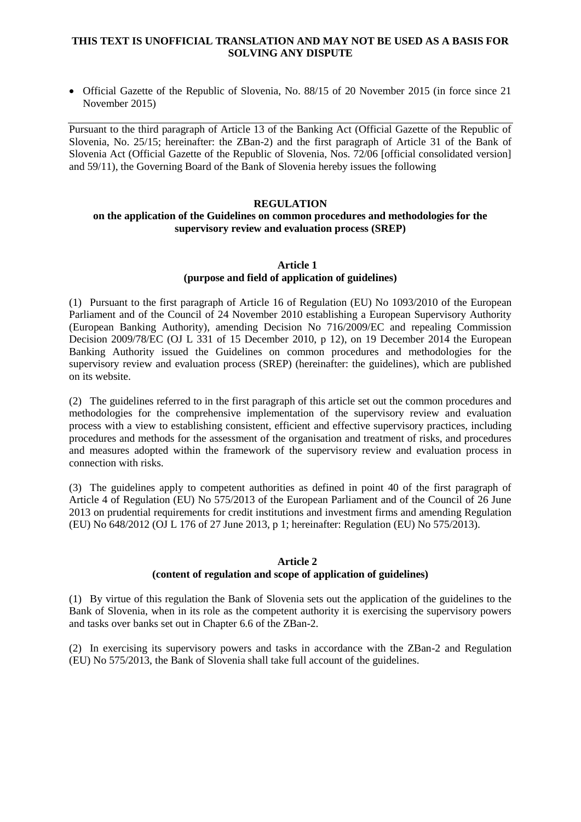## **THIS TEXT IS UNOFFICIAL TRANSLATION AND MAY NOT BE USED AS A BASIS FOR SOLVING ANY DISPUTE**

 Official Gazette of the Republic of Slovenia, No. 88/15 of 20 November 2015 (in force since 21 November 2015)

Pursuant to the third paragraph of Article 13 of the Banking Act (Official Gazette of the Republic of Slovenia, No. 25/15; hereinafter: the ZBan-2) and the first paragraph of Article 31 of the Bank of Slovenia Act (Official Gazette of the Republic of Slovenia, Nos. 72/06 [official consolidated version] and 59/11), the Governing Board of the Bank of Slovenia hereby issues the following

#### **REGULATION**

#### **on the application of the Guidelines on common procedures and methodologies for the supervisory review and evaluation process (SREP)**

#### **Article 1 (purpose and field of application of guidelines)**

(1) Pursuant to the first paragraph of Article 16 of Regulation (EU) No 1093/2010 of the European Parliament and of the Council of 24 November 2010 establishing a European Supervisory Authority (European Banking Authority), amending Decision No 716/2009/EC and repealing Commission Decision 2009/78/EC (OJ L 331 of 15 December 2010, p 12), on 19 December 2014 the European Banking Authority issued the Guidelines on common procedures and methodologies for the supervisory review and evaluation process (SREP) (hereinafter: the guidelines), which are published on its website.

(2) The guidelines referred to in the first paragraph of this article set out the common procedures and methodologies for the comprehensive implementation of the supervisory review and evaluation process with a view to establishing consistent, efficient and effective supervisory practices, including procedures and methods for the assessment of the organisation and treatment of risks, and procedures and measures adopted within the framework of the supervisory review and evaluation process in connection with risks.

(3) The guidelines apply to competent authorities as defined in point 40 of the first paragraph of Article 4 of Regulation (EU) No 575/2013 of the European Parliament and of the Council of 26 June 2013 on prudential requirements for credit institutions and investment firms and amending Regulation (EU) No 648/2012 (OJ L 176 of 27 June 2013, p 1; hereinafter: Regulation (EU) No 575/2013).

## **Article 2**

## **(content of regulation and scope of application of guidelines)**

(1) By virtue of this regulation the Bank of Slovenia sets out the application of the guidelines to the Bank of Slovenia, when in its role as the competent authority it is exercising the supervisory powers and tasks over banks set out in Chapter 6.6 of the ZBan-2.

(2) In exercising its supervisory powers and tasks in accordance with the ZBan-2 and Regulation (EU) No 575/2013, the Bank of Slovenia shall take full account of the guidelines.